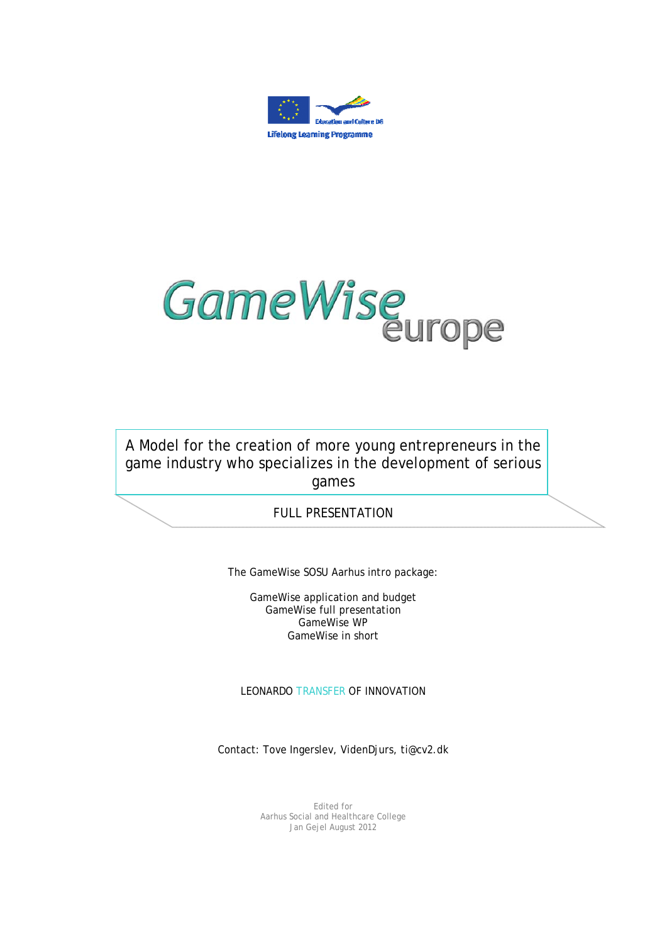



A Model for the creation of more young entrepreneurs in the game industry who specializes in the development of serious games

## FULL PRESENTATION

The GameWise SOSU Aarhus intro package:

GameWise application and budget GameWise full presentation GameWise WP GameWise in short

LEONARDO TRANSFER OF INNOVATION

Contact: Tove Ingerslev, VidenDjurs, ti@cv2.dk

Edited for Aarhus Social and Healthcare College Jan Gejel August 2012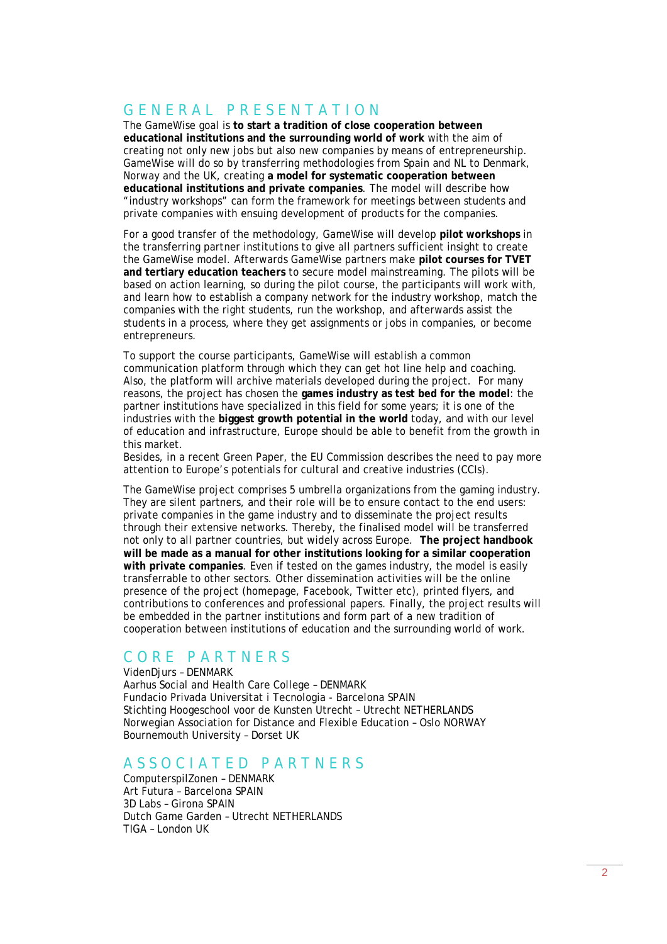# G E N E R A L P R E S E N T A T I O N

The GameWise goal is **to start a tradition of close cooperation between educational institutions and the surrounding world of work** with the aim of creating not only new jobs but also new companies by means of entrepreneurship. GameWise will do so by transferring methodologies from Spain and NL to Denmark, Norway and the UK, creating **a model for systematic cooperation between educational institutions and private companies**. The model will describe how "industry workshops" can form the framework for meetings between students and private companies with ensuing development of products for the companies.

For a good transfer of the methodology, GameWise will develop **pilot workshops** in the transferring partner institutions to give all partners sufficient insight to create the GameWise model. Afterwards GameWise partners make **pilot courses for TVET and tertiary education teachers** to secure model mainstreaming. The pilots will be based on action learning, so during the pilot course, the participants will work with, and learn how to establish a company network for the industry workshop, match the companies with the right students, run the workshop, and afterwards assist the students in a process, where they get assignments or jobs in companies, or become entrepreneurs.

To support the course participants, GameWise will establish a common communication platform through which they can get hot line help and coaching. Also, the platform will archive materials developed during the project. For many reasons, the project has chosen the **games industry as test bed for the model**: the partner institutions have specialized in this field for some years; it is one of the industries with the **biggest growth potential in the world** today, and with our level of education and infrastructure, Europe should be able to benefit from the growth in this market.

Besides, in a recent Green Paper, the EU Commission describes the need to pay more attention to Europe's potentials for cultural and creative industries (CCIs).

The GameWise project comprises 5 umbrella organizations from the gaming industry. They are silent partners, and their role will be to ensure contact to the end users: private companies in the game industry and to disseminate the project results through their extensive networks. Thereby, the finalised model will be transferred not only to all partner countries, but widely across Europe. **The project handbook will be made as a manual for other institutions looking for a similar cooperation with private companies**. Even if tested on the games industry, the model is easily transferrable to other sectors. Other dissemination activities will be the online presence of the project (homepage, Facebook, Twitter etc), printed flyers, and contributions to conferences and professional papers. Finally, the project results will be embedded in the partner institutions and form part of a new tradition of cooperation between institutions of education and the surrounding world of work.

# CORE PARTNERS

VidenDjurs – DENMARK Aarhus Social and Health Care College – DENMARK Fundacio Privada Universitat i Tecnologia - Barcelona SPAIN Stichting Hoogeschool voor de Kunsten Utrecht – Utrecht NETHERLANDS Norwegian Association for Distance and Flexible Education – Oslo NORWAY Bournemouth University – Dorset UK

### A S S O C I A T E D P A R T N E R S

ComputerspilZonen – DENMARK Art Futura – Barcelona SPAIN 3D Labs – Girona SPAIN Dutch Game Garden – Utrecht NETHERLANDS TIGA – London UK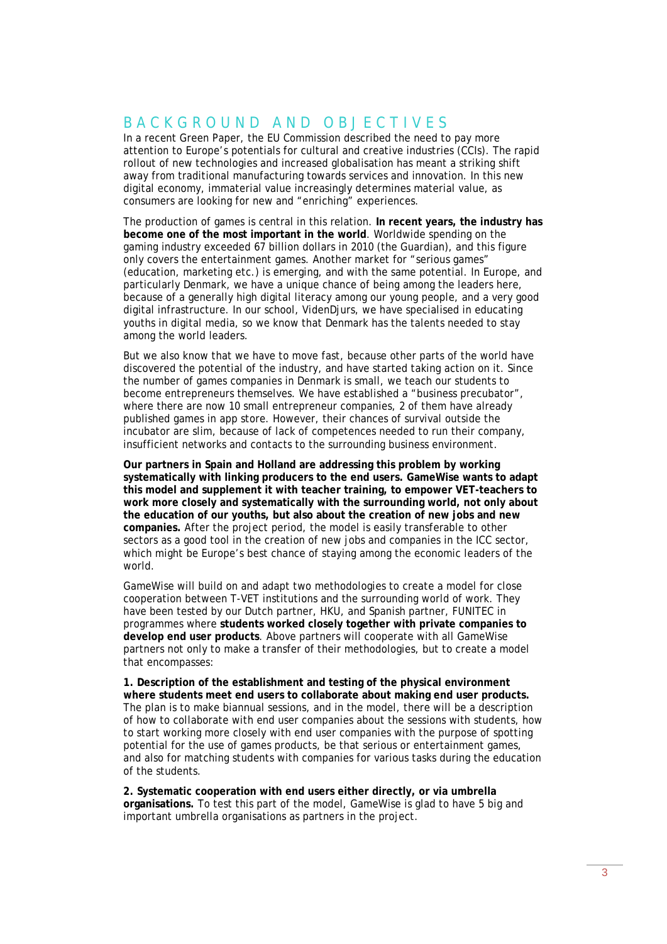# B A C K G R O U N D A N D O B J E C T I V E S

In a recent Green Paper, the EU Commission described the need to pay more attention to Europe's potentials for cultural and creative industries (CCIs). The rapid rollout of new technologies and increased globalisation has meant a striking shift away from traditional manufacturing towards services and innovation. In this new digital economy, immaterial value increasingly determines material value, as consumers are looking for new and "enriching" experiences.

The production of games is central in this relation. **In recent years, the industry has become one of the most important in the world**. Worldwide spending on the gaming industry exceeded 67 billion dollars in 2010 (the Guardian), and this figure only covers the entertainment games. Another market for "serious games" (education, marketing etc.) is emerging, and with the same potential. In Europe, and particularly Denmark, we have a unique chance of being among the leaders here, because of a generally high digital literacy among our young people, and a very good digital infrastructure. In our school, VidenDjurs, we have specialised in educating youths in digital media, so we know that Denmark has the talents needed to stay among the world leaders.

But we also know that we have to move fast, because other parts of the world have discovered the potential of the industry, and have started taking action on it. Since the number of games companies in Denmark is small, we teach our students to become entrepreneurs themselves. We have established a "business precubator", where there are now 10 small entrepreneur companies, 2 of them have already published games in app store. However, their chances of survival outside the incubator are slim, because of lack of competences needed to run their company, insufficient networks and contacts to the surrounding business environment.

**Our partners in Spain and Holland are addressing this problem by working systematically with linking producers to the end users. GameWise wants to adapt this model and supplement it with teacher training, to empower VET-teachers to work more closely and systematically with the surrounding world, not only about the education of our youths, but also about the creation of new jobs and new companies.** After the project period, the model is easily transferable to other sectors as a good tool in the creation of new jobs and companies in the ICC sector, which might be Europe's best chance of staying among the economic leaders of the world.

GameWise will build on and adapt two methodologies to create a model for close cooperation between T-VET institutions and the surrounding world of work. They have been tested by our Dutch partner, HKU, and Spanish partner, FUNITEC in programmes where **students worked closely together with private companies to develop end user products**. Above partners will cooperate with all GameWise partners not only to make a transfer of their methodologies, but to create a model that encompasses:

**1. Description of the establishment and testing of the physical environment where students meet end users to collaborate about making end user products.** The plan is to make biannual sessions, and in the model, there will be a description of how to collaborate with end user companies about the sessions with students, how to start working more closely with end user companies with the purpose of spotting potential for the use of games products, be that serious or entertainment games, and also for matching students with companies for various tasks during the education of the students.

**2. Systematic cooperation with end users either directly, or via umbrella organisations.** To test this part of the model, GameWise is glad to have 5 big and important umbrella organisations as partners in the project.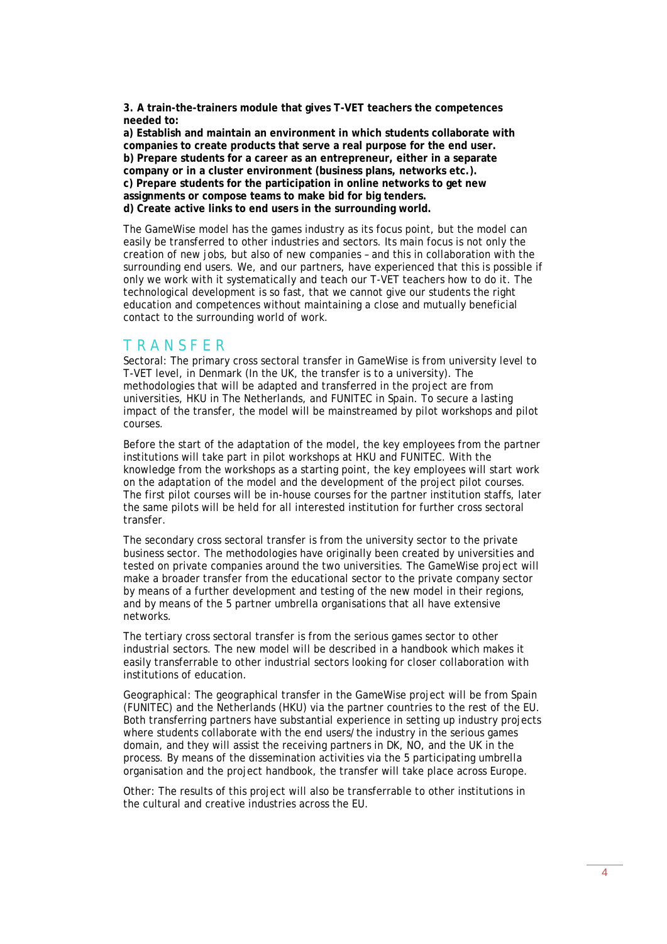**3. A train-the-trainers module that gives T-VET teachers the competences needed to:** 

**a) Establish and maintain an environment in which students collaborate with companies to create products that serve a real purpose for the end user. b) Prepare students for a career as an entrepreneur, either in a separate company or in a cluster environment (business plans, networks etc.). c) Prepare students for the participation in online networks to get new assignments or compose teams to make bid for big tenders. d) Create active links to end users in the surrounding world.** 

The GameWise model has the games industry as its focus point, but the model can easily be transferred to other industries and sectors. Its main focus is not only the creation of new jobs, but also of new companies – and this in collaboration with the surrounding end users. We, and our partners, have experienced that this is possible if only we work with it systematically and teach our T-VET teachers how to do it. The technological development is so fast, that we cannot give our students the right education and competences without maintaining a close and mutually beneficial contact to the surrounding world of work.

#### T R A N S F E R

Sectoral: The primary cross sectoral transfer in GameWise is from university level to T-VET level, in Denmark (In the UK, the transfer is to a university). The methodologies that will be adapted and transferred in the project are from universities, HKU in The Netherlands, and FUNITEC in Spain. To secure a lasting impact of the transfer, the model will be mainstreamed by pilot workshops and pilot courses.

Before the start of the adaptation of the model, the key employees from the partner institutions will take part in pilot workshops at HKU and FUNITEC. With the knowledge from the workshops as a starting point, the key employees will start work on the adaptation of the model and the development of the project pilot courses. The first pilot courses will be in-house courses for the partner institution staffs, later the same pilots will be held for all interested institution for further cross sectoral transfer.

The secondary cross sectoral transfer is from the university sector to the private business sector. The methodologies have originally been created by universities and tested on private companies around the two universities. The GameWise project will make a broader transfer from the educational sector to the private company sector by means of a further development and testing of the new model in their regions, and by means of the 5 partner umbrella organisations that all have extensive networks.

The tertiary cross sectoral transfer is from the serious games sector to other industrial sectors. The new model will be described in a handbook which makes it easily transferrable to other industrial sectors looking for closer collaboration with institutions of education.

Geographical: The geographical transfer in the GameWise project will be from Spain (FUNITEC) and the Netherlands (HKU) via the partner countries to the rest of the EU. Both transferring partners have substantial experience in setting up industry projects where students collaborate with the end users/the industry in the serious games domain, and they will assist the receiving partners in DK, NO, and the UK in the process. By means of the dissemination activities via the 5 participating umbrella organisation and the project handbook, the transfer will take place across Europe.

Other: The results of this project will also be transferrable to other institutions in the cultural and creative industries across the EU.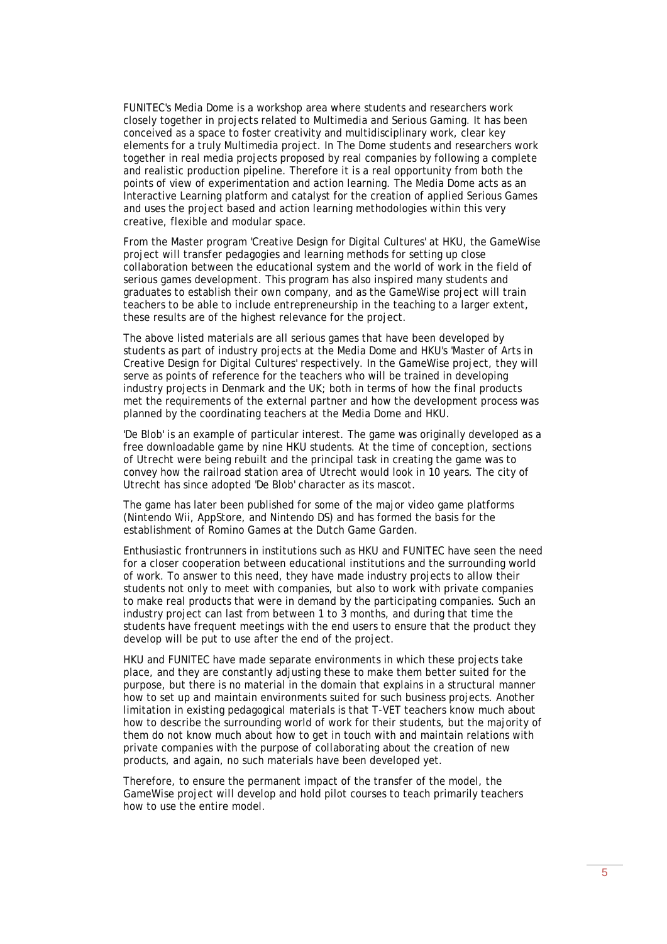FUNITEC's Media Dome is a workshop area where students and researchers work closely together in projects related to Multimedia and Serious Gaming. It has been conceived as a space to foster creativity and multidisciplinary work, clear key elements for a truly Multimedia project. In The Dome students and researchers work together in real media projects proposed by real companies by following a complete and realistic production pipeline. Therefore it is a real opportunity from both the points of view of experimentation and action learning. The Media Dome acts as an Interactive Learning platform and catalyst for the creation of applied Serious Games and uses the project based and action learning methodologies within this very creative, flexible and modular space.

From the Master program 'Creative Design for Digital Cultures' at HKU, the GameWise project will transfer pedagogies and learning methods for setting up close collaboration between the educational system and the world of work in the field of serious games development. This program has also inspired many students and graduates to establish their own company, and as the GameWise project will train teachers to be able to include entrepreneurship in the teaching to a larger extent, these results are of the highest relevance for the project.

The above listed materials are all serious games that have been developed by students as part of industry projects at the Media Dome and HKU's 'Master of Arts in Creative Design for Digital Cultures' respectively. In the GameWise project, they will serve as points of reference for the teachers who will be trained in developing industry projects in Denmark and the UK; both in terms of how the final products met the requirements of the external partner and how the development process was planned by the coordinating teachers at the Media Dome and HKU.

'De Blob' is an example of particular interest. The game was originally developed as a free downloadable game by nine HKU students. At the time of conception, sections of Utrecht were being rebuilt and the principal task in creating the game was to convey how the railroad station area of Utrecht would look in 10 years. The city of Utrecht has since adopted 'De Blob' character as its mascot.

The game has later been published for some of the major video game platforms (Nintendo Wii, AppStore, and Nintendo DS) and has formed the basis for the establishment of Romino Games at the Dutch Game Garden.

Enthusiastic frontrunners in institutions such as HKU and FUNITEC have seen the need for a closer cooperation between educational institutions and the surrounding world of work. To answer to this need, they have made industry projects to allow their students not only to meet with companies, but also to work with private companies to make real products that were in demand by the participating companies. Such an industry project can last from between 1 to 3 months, and during that time the students have frequent meetings with the end users to ensure that the product they develop will be put to use after the end of the project.

HKU and FUNITEC have made separate environments in which these projects take place, and they are constantly adjusting these to make them better suited for the purpose, but there is no material in the domain that explains in a structural manner how to set up and maintain environments suited for such business projects. Another limitation in existing pedagogical materials is that T-VET teachers know much about how to describe the surrounding world of work for their students, but the majority of them do not know much about how to get in touch with and maintain relations with private companies with the purpose of collaborating about the creation of new products, and again, no such materials have been developed yet.

Therefore, to ensure the permanent impact of the transfer of the model, the GameWise project will develop and hold pilot courses to teach primarily teachers how to use the entire model.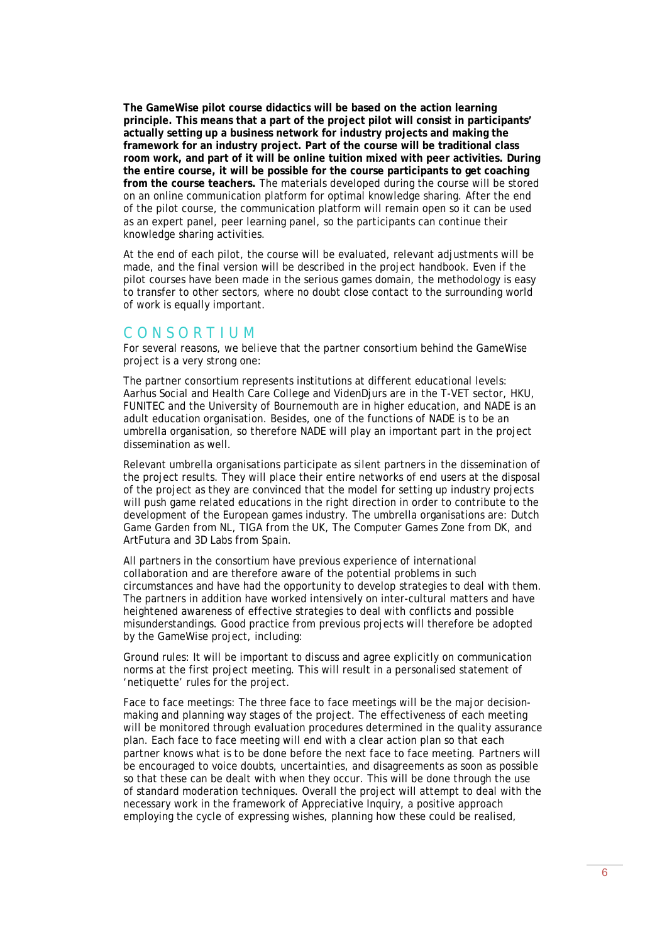**The GameWise pilot course didactics will be based on the action learning principle. This means that a part of the project pilot will consist in participants' actually setting up a business network for industry projects and making the framework for an industry project. Part of the course will be traditional class room work, and part of it will be online tuition mixed with peer activities. During the entire course, it will be possible for the course participants to get coaching from the course teachers.** The materials developed during the course will be stored on an online communication platform for optimal knowledge sharing. After the end of the pilot course, the communication platform will remain open so it can be used as an expert panel, peer learning panel, so the participants can continue their knowledge sharing activities.

At the end of each pilot, the course will be evaluated, relevant adjustments will be made, and the final version will be described in the project handbook. Even if the pilot courses have been made in the serious games domain, the methodology is easy to transfer to other sectors, where no doubt close contact to the surrounding world of work is equally important.

#### C O N S O R T I U M

For several reasons, we believe that the partner consortium behind the GameWise project is a very strong one:

The partner consortium represents institutions at different educational levels: Aarhus Social and Health Care College and VidenDjurs are in the T-VET sector, HKU, FUNITEC and the University of Bournemouth are in higher education, and NADE is an adult education organisation. Besides, one of the functions of NADE is to be an umbrella organisation, so therefore NADE will play an important part in the project dissemination as well.

Relevant umbrella organisations participate as silent partners in the dissemination of the project results. They will place their entire networks of end users at the disposal of the project as they are convinced that the model for setting up industry projects will push game related educations in the right direction in order to contribute to the development of the European games industry. The umbrella organisations are: Dutch Game Garden from NL, TIGA from the UK, The Computer Games Zone from DK, and ArtFutura and 3D Labs from Spain.

All partners in the consortium have previous experience of international collaboration and are therefore aware of the potential problems in such circumstances and have had the opportunity to develop strategies to deal with them. The partners in addition have worked intensively on inter-cultural matters and have heightened awareness of effective strategies to deal with conflicts and possible misunderstandings. Good practice from previous projects will therefore be adopted by the GameWise project, including:

Ground rules: It will be important to discuss and agree explicitly on communication norms at the first project meeting. This will result in a personalised statement of 'netiquette' rules for the project.

Face to face meetings: The three face to face meetings will be the major decisionmaking and planning way stages of the project. The effectiveness of each meeting will be monitored through evaluation procedures determined in the quality assurance plan. Each face to face meeting will end with a clear action plan so that each partner knows what is to be done before the next face to face meeting. Partners will be encouraged to voice doubts, uncertainties, and disagreements as soon as possible so that these can be dealt with when they occur. This will be done through the use of standard moderation techniques. Overall the project will attempt to deal with the necessary work in the framework of Appreciative Inquiry, a positive approach employing the cycle of expressing wishes, planning how these could be realised,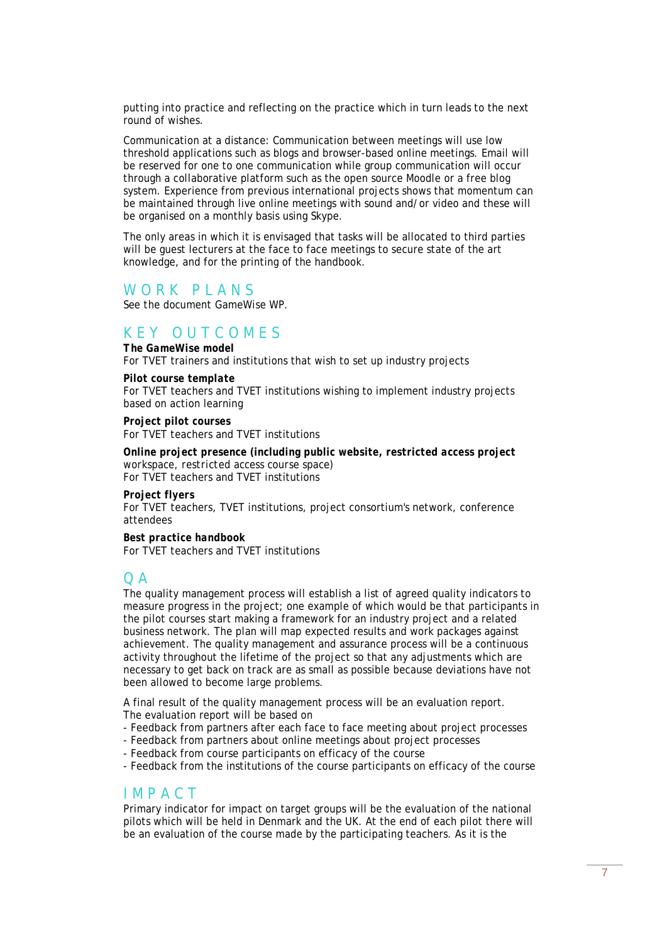putting into practice and reflecting on the practice which in turn leads to the next round of wishes.

Communication at a distance: Communication between meetings will use low threshold applications such as blogs and browser-based online meetings. Email will be reserved for one to one communication while group communication will occur through a collaborative platform such as the open source Moodle or a free blog system. Experience from previous international projects shows that momentum can be maintained through live online meetings with sound and/or video and these will be organised on a monthly basis using Skype.

The only areas in which it is envisaged that tasks will be allocated to third parties will be guest lecturers at the face to face meetings to secure state of the art knowledge, and for the printing of the handbook.

## WORK PIANS

*See the document GameWise WP.* 

# K E Y O U T C O M E S

*The GameWise model*  For TVET trainers and institutions that wish to set up industry projects

#### *Pilot course template*

For TVET teachers and TVET institutions wishing to implement industry projects based on action learning

*Project pilot courses*  For TVET teachers and TVET institutions

*Online project presence (including public website, restricted access project workspace, restricted access course space)*  For TVET teachers and TVET institutions

#### *Project flyers*

For TVET teachers, TVET institutions, project consortium's network, conference attendees

*Best practice handbook*  For TVET teachers and TVET institutions

#### $O<sub>A</sub>$

The quality management process will establish a list of agreed quality indicators to measure progress in the project; one example of which would be that participants in the pilot courses start making a framework for an industry project and a related business network. The plan will map expected results and work packages against achievement. The quality management and assurance process will be a continuous activity throughout the lifetime of the project so that any adjustments which are necessary to get back on track are as small as possible because deviations have not been allowed to become large problems.

A final result of the quality management process will be an evaluation report. The evaluation report will be based on

- Feedback from partners after each face to face meeting about project processes
- Feedback from partners about online meetings about project processes
- Feedback from course participants on efficacy of the course

- Feedback from the institutions of the course participants on efficacy of the course

#### I M P A C T

Primary indicator for impact on target groups will be the evaluation of the national pilots which will be held in Denmark and the UK. At the end of each pilot there will be an evaluation of the course made by the participating teachers. As it is the